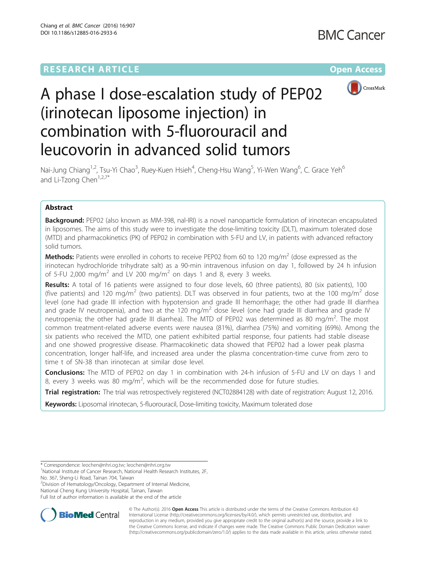## **RESEARCH ARTICLE Example 2014 12:30 The Community Community Community Community Community Community Community**



# A phase I dose-escalation study of PEP02 (irinotecan liposome injection) in combination with 5-fluorouracil and leucovorin in advanced solid tumors

Nai-Jung Chiang<sup>1,2</sup>, Tsu-Yi Chao<sup>3</sup>, Ruey-Kuen Hsieh<sup>4</sup>, Cheng-Hsu Wang<sup>5</sup>, Yi-Wen Wang<sup>6</sup>, C. Grace Yeh<sup>6</sup> and Li-Tzong Chen $1,2,7^*$ 

## Abstract

Background: PEP02 (also known as MM-398, nal-IRI) is a novel nanoparticle formulation of irinotecan encapsulated in liposomes. The aims of this study were to investigate the dose-limiting toxicity (DLT), maximum tolerated dose (MTD) and pharmacokinetics (PK) of PEP02 in combination with 5-FU and LV, in patients with advanced refractory solid tumors.

**Methods:** Patients were enrolled in cohorts to receive PEP02 from 60 to 120 mg/m<sup>2</sup> (dose expressed as the irinotecan hydrochloride trihydrate salt) as a 90-min intravenous infusion on day 1, followed by 24 h infusion of 5-FU 2,000 mg/m<sup>2</sup> and LV 200 mg/m<sup>2</sup> on days 1 and 8, every 3 weeks.

Results: A total of 16 patients were assigned to four dose levels, 60 (three patients), 80 (six patients), 100 (five patients) and 120 mg/m<sup>2</sup> (two patients). DLT was observed in four patients, two at the 100 mg/m<sup>2</sup> dose level (one had grade III infection with hypotension and grade III hemorrhage; the other had grade III diarrhea and grade IV neutropenia), and two at the 120 mg/m<sup>2</sup> dose level (one had grade III diarrhea and grade IV neutropenia; the other had grade III diarrhea). The MTD of PEP02 was determined as 80 mg/m<sup>2</sup>. The most common treatment-related adverse events were nausea (81%), diarrhea (75%) and vomiting (69%). Among the six patients who received the MTD, one patient exhibited partial response, four patients had stable disease and one showed progressive disease. Pharmacokinetic data showed that PEP02 had a lower peak plasma concentration, longer half-life, and increased area under the plasma concentration-time curve from zero to time t of SN-38 than irinotecan at similar dose level.

**Conclusions:** The MTD of PEP02 on day 1 in combination with 24-h infusion of 5-FU and LV on days 1 and 8, every 3 weeks was 80 mg/m<sup>2</sup>, which will be the recommended dose for future studies.

Trial registration: The trial was retrospectively registered [\(NCT02884128](https://clinicaltrials.gov/ct2/show/NCT02884128)) with date of registration: August 12, 2016.

Keywords: Liposomal irinotecan, 5-fluorouracil, Dose-limiting toxicity, Maximum tolerated dose

2 Division of Hematology/Oncology, Department of Internal Medicine,

National Cheng Kung University Hospital, Tainan, Taiwan

Full list of author information is available at the end of the article



© The Author(s). 2016 Open Access This article is distributed under the terms of the Creative Commons Attribution 4.0 International License [\(http://creativecommons.org/licenses/by/4.0/](http://creativecommons.org/licenses/by/4.0/)), which permits unrestricted use, distribution, and reproduction in any medium, provided you give appropriate credit to the original author(s) and the source, provide a link to the Creative Commons license, and indicate if changes were made. The Creative Commons Public Domain Dedication waiver [\(http://creativecommons.org/publicdomain/zero/1.0/](http://creativecommons.org/publicdomain/zero/1.0/)) applies to the data made available in this article, unless otherwise stated.

<sup>\*</sup> Correspondence: [leochen@nhri.og.tw;](mailto:leochen@nhri.og.tw) [leochen@nhri.org.tw](mailto:leochen@nhri.org.tw) <sup>1</sup>

<sup>&</sup>lt;sup>1</sup>National Institute of Cancer Research, National Health Research Institutes, 2F, No. 367, Sheng-Li Road, Tainan 704, Taiwan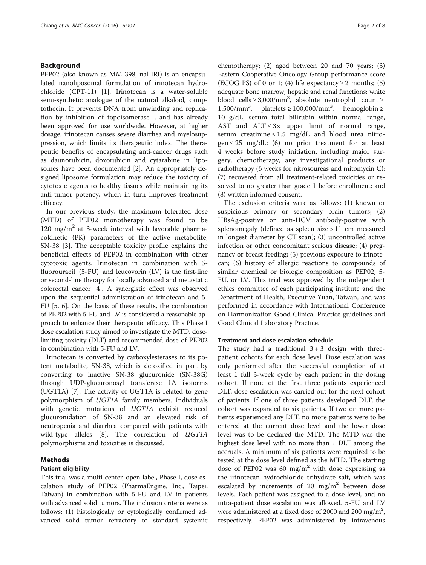## Background

PEP02 (also known as MM-398, nal-IRI) is an encapsulated nanoliposomal formulation of irinotecan hydrochloride (CPT-11) [\[1\]](#page-7-0). Irinotecan is a water-soluble semi-synthetic analogue of the natural alkaloid, camptothecin. It prevents DNA from unwinding and replication by inhibition of topoisomerase-I, and has already been approved for use worldwide. However, at higher dosage, irinotecan causes severe diarrhea and myelosuppression, which limits its therapeutic index. The therapeutic benefits of encapsulating anti-cancer drugs such as daunorubicin, doxorubicin and cytarabine in liposomes have been documented [\[2](#page-7-0)]. An appropriately designed liposome formulation may reduce the toxicity of cytotoxic agents to healthy tissues while maintaining its anti-tumor potency, which in turn improves treatment efficacy.

In our previous study, the maximum tolerated dose (MTD) of PEP02 monotherapy was found to be 120 mg/m<sup>2</sup> at 3-week interval with favorable pharmacokinetic (PK) parameters of the active metabolite, SN-38 [\[3](#page-7-0)]. The acceptable toxicity profile explains the beneficial effects of PEP02 in combination with other cytotoxic agents. Irinotecan in combination with 5 fluorouracil (5-FU) and leucovorin (LV) is the first-line or second-line therapy for locally advanced and metastatic colorectal cancer [[4\]](#page-7-0). A synergistic effect was observed upon the sequential administration of irinotecan and 5- FU [[5](#page-7-0), [6](#page-7-0)]. On the basis of these results, the combination of PEP02 with 5-FU and LV is considered a reasonable approach to enhance their therapeutic efficacy. This Phase I dose escalation study aimed to investigate the MTD, doselimiting toxicity (DLT) and recommended dose of PEP02 in combination with 5-FU and LV.

Irinotecan is converted by carboxylesterases to its potent metabolite, SN-38, which is detoxified in part by converting to inactive SN-38 glucuronide (SN-38G) through UDP-glucuronosyl transferase 1A isoforms (UGT1A) [[7\]](#page-7-0). The activity of UGT1A is related to gene polymorphism of UGT1A family members. Individuals with genetic mutations of UGT1A exhibit reduced glucuronidation of SN-38 and an elevated risk of neutropenia and diarrhea compared with patients with wild-type alleles [[8](#page-7-0)]. The correlation of *UGT1A* polymorphisms and toxicities is discussed.

## Methods

## Patient eligibility

This trial was a multi-center, open-label, Phase I, dose escalation study of PEP02 (PharmaEngine, Inc., Taipei, Taiwan) in combination with 5-FU and LV in patients with advanced solid tumors. The inclusion criteria were as follows: (1) histologically or cytologically confirmed advanced solid tumor refractory to standard systemic

chemotherapy; (2) aged between 20 and 70 years; (3) Eastern Cooperative Oncology Group performance score (ECOG PS) of 0 or 1; (4) life expectancy  $\geq 2$  months; (5) adequate bone marrow, hepatic and renal functions: white blood cells ≥ 3,000/mm<sup>3</sup>, absolute neutrophil count ≥ 1,500/mm<sup>3</sup>, platelets ≥ 100,000/mm<sup>3</sup>, hemoglobin ≥ 10 g/dL, serum total bilirubin within normal range, AST and  $ALT \leq 3 \times 10^{10}$  upper limit of normal range, serum creatinine  $\leq 1.5$  mg/dL and blood urea nitro $gen \leq 25$  mg/dL; (6) no prior treatment for at least 4 weeks before study initiation, including major surgery, chemotherapy, any investigational products or radiotherapy (6 weeks for nitrosoureas and mitomycin C); (7) recovered from all treatment-related toxicities or resolved to no greater than grade 1 before enrollment; and (8) written informed consent.

The exclusion criteria were as follows: (1) known or suspicious primary or secondary brain tumors; (2) HBsAg-positive or anti-HCV antibody-positive with splenomegaly (defined as spleen size > 11 cm measured in longest diameter by CT scan); (3) uncontrolled active infection or other concomitant serious disease; (4) pregnancy or breast-feeding; (5) previous exposure to irinotecan; (6) history of allergic reactions to compounds of similar chemical or biologic composition as PEP02, 5- FU, or LV. This trial was approved by the independent ethics committee of each participating institute and the Department of Health, Executive Yuan, Taiwan, and was performed in accordance with International Conference on Harmonization Good Clinical Practice guidelines and Good Clinical Laboratory Practice.

#### Treatment and dose escalation schedule

The study had a traditional  $3+3$  design with threepatient cohorts for each dose level. Dose escalation was only performed after the successful completion of at least 1 full 3-week cycle by each patient in the dosing cohort. If none of the first three patients experienced DLT, dose escalation was carried out for the next cohort of patients. If one of three patients developed DLT, the cohort was expanded to six patients. If two or more patients experienced any DLT, no more patients were to be entered at the current dose level and the lower dose level was to be declared the MTD. The MTD was the highest dose level with no more than 1 DLT among the accruals. A minimum of six patients were required to be tested at the dose level defined as the MTD. The starting dose of PEP02 was 60 mg/m<sup>2</sup> with dose expressing as the irinotecan hydrochloride trihydrate salt, which was escalated by increments of 20  $mg/m^2$  between dose levels. Each patient was assigned to a dose level, and no intra-patient dose escalation was allowed. 5-FU and LV were administered at a fixed dose of 2000 and 200 mg/m<sup>2</sup>, respectively. PEP02 was administered by intravenous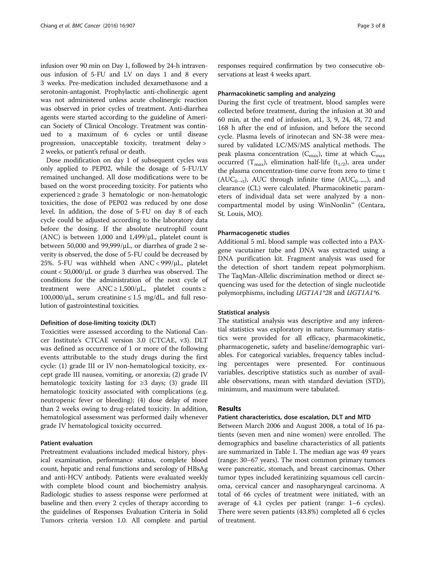infusion over 90 min on Day 1, followed by 24-h intravenous infusion of 5-FU and LV on days 1 and 8 every 3 weeks. Pre-medication included dexamethasone and a serotonin-antagonist. Prophylactic anti-cholinergic agent was not administered unless acute cholinergic reaction was observed in prior cycles of treatment. Anti-diarrhea agents were started according to the guideline of American Society of Clinical Oncology. Treatment was continued to a maximum of 6 cycles or until disease progression, unacceptable toxicity, treatment delay > 2 weeks, or patient's refusal or death.

Dose modification on day 1 of subsequent cycles was only applied to PEP02, while the dosage of 5-FU/LV remained unchanged. All dose modifications were to be based on the worst proceeding toxicity. For patients who experienced ≥ grade 3 hematologic or non-hematologic toxicities, the dose of PEP02 was reduced by one dose level. In addition, the dose of 5-FU on day 8 of each cycle could be adjusted according to the laboratory data before the dosing. If the absolute neutrophil count (ANC) is between 1,000 and 1,499/ $\mu$ L, platelet count is between 50,000 and 99,999/μL, or diarrhea of grade 2 severity is observed, the dose of 5-FU could be decreased by 25%. 5-FU was withheld when ANC < 999/μL, platelet count < 50,000/μL or grade 3 diarrhea was observed. The conditions for the administration of the next cycle of treatment were  $ANC \ge 1,500/\mu L$ , platelet counts ≥  $100,000/\mu L$ , serum creatinine  $\leq 1.5$  mg/dL, and full resolution of gastrointestinal toxicities.

#### Definition of dose-limiting toxicity (DLT)

Toxicities were assessed according to the National Cancer Institute's CTCAE version 3.0 (CTCAE, v3). DLT was defined as occurrence of 1 or more of the following events attributable to the study drugs during the first cycle: (1) grade III or IV non-hematological toxicity, except grade III nausea, vomiting, or anorexia; (2) grade IV hematologic toxicity lasting for  $\geq$ 3 days; (3) grade III hematologic toxicity associated with complications (e.g. neutropenic fever or bleeding); (4) dose delay of more than 2 weeks owing to drug-related toxicity. In addition, hematological assessment was performed daily whenever grade IV hematological toxicity occurred.

## Patient evaluation

Pretreatment evaluations included medical history, physical examination, performance status, complete blood count, hepatic and renal functions and serology of HBsAg and anti-HCV antibody. Patients were evaluated weekly with complete blood count and biochemistry analysis. Radiologic studies to assess response were performed at baseline and then every 2 cycles of therapy according to the guidelines of Responses Evaluation Criteria in Solid Tumors criteria version 1.0. All complete and partial

responses required confirmation by two consecutive observations at least 4 weeks apart.

#### Pharmacokinetic sampling and analyzing

During the first cycle of treatment, blood samples were collected before treatment, during the infusion at 30 and 60 min, at the end of infusion, at1, 3, 9, 24, 48, 72 and 168 h after the end of infusion, and before the second cycle. Plasma levels of irinotecan and SN-38 were measured by validated LC/MS/MS analytical methods. The peak plasma concentration  $(C_{\text{max}})$ , time at which  $C_{\text{max}}$ occurred (T<sub>max</sub>), elimination half-life (t<sub>1/2</sub>), area under the plasma concentration-time curve from zero to time t  $(AUC_{0\rightarrow t})$ , AUC through infinite time  $(AUC_{0\rightarrow\infty})$ , and clearance (CL) were calculated. Pharmacokinetic parameters of individual data set were analyzed by a noncompartmental model by using WinNonlin™ (Centara, St. Louis, MO).

#### Pharmacogenetic studies

Additional 5 mL blood sample was collected into a PAXgene vacutainer tube and DNA was extracted using a DNA purification kit. Fragment analysis was used for the detection of short tandem repeat polymorphism. The TaqMan-Allelic discrimination method or direct sequencing was used for the detection of single nucleotide polymorphisms, including UGT1A1\*28 and UGT1A1\*6.

#### Statistical analysis

The statistical analysis was descriptive and any inferential statistics was exploratory in nature. Summary statistics were provided for all efficacy, pharmacokinetic, pharmacogenetic, safety and baseline/demographic variables. For categorical variables, frequency tables including percentages were presented. For continuous variables, descriptive statistics such as number of available observations, mean with standard deviation (STD), minimum, and maximum were tabulated.

## Results

## Patient characteristics, dose escalation, DLT and MTD

Between March 2006 and August 2008, a total of 16 patients (seven men and nine women) were enrolled. The demographics and baseline characteristics of all patients are summarized in Table [1.](#page-3-0) The median age was 49 years (range: 30–67 years). The most common primary tumors were pancreatic, stomach, and breast carcinomas. Other tumor types included keratinizing squamous cell carcinoma, cervical cancer and nasopharyngeal carcinoma. A total of 66 cycles of treatment were initiated, with an average of 4.1 cycles per patient (range: 1–6 cycles). There were seven patients (43.8%) completed all 6 cycles of treatment.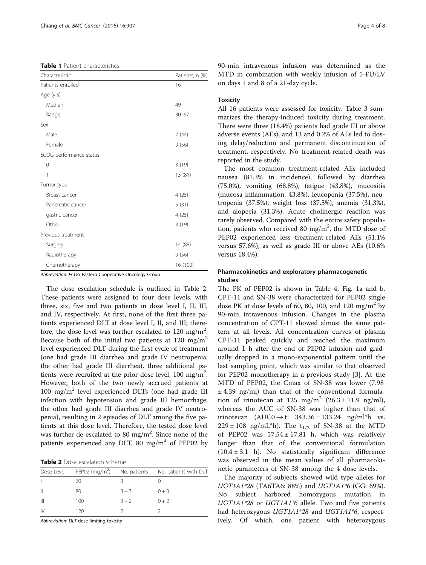<span id="page-3-0"></span>

| <b>Table 1</b> Patient characteristics |  |
|----------------------------------------|--|
|----------------------------------------|--|

| Characteristic          | Patients, n (%) |
|-------------------------|-----------------|
| Patients enrolled       | 16              |
| Age (yrs)               |                 |
| Median                  | 49              |
| Range                   | $30 - 67$       |
| Sex                     |                 |
| Male                    | 7(44)           |
| Female                  | 9(56)           |
| ECOG performance status |                 |
| 0                       | 3(19)           |
| 1                       | 13 (81)         |
| Tumor type              |                 |
| Breast cancer           | 4(25)           |
| Pancreatic cancer       | 5(31)           |
| gastric cancer          | 4(25)           |
| Other                   | 3(19)           |
| Previous treatment      |                 |
| Surgery                 | 14 (88)         |
| Radiotherapy            | 9(56)           |
| Chemotherapy            | 16 (100)        |

Abbreviation: ECOG Eastern Cooperative Oncology Group

The dose escalation schedule is outlined in Table 2. These patients were assigned to four dose levels, with three, six, five and two patients in dose level I, II, III, and IV, respectively. At first, none of the first three patients experienced DLT at dose level I, II, and III; therefore, the dose level was further escalated to 120 mg/m<sup>2</sup>. Because both of the initial two patients at 120 mg/m<sup>2</sup> level experienced DLT during the first cycle of treatment (one had grade III diarrhea and grade IV neutropenia; the other had grade III diarrhea), three additional patients were recruited at the prior dose level,  $100 \text{ mg/m}^2$ . However, both of the two newly accrued patients at  $100 \text{ mg/m}^2$  level experienced DLTs (one had grade III infection with hypotension and grade III hemorrhage; the other had grade III diarrhea and grade IV neutropenia), resulting in 2 episodes of DLT among the five patients at this dose level. Therefore, the tested dose level was further de-escalated to 80 mg/m<sup>2</sup>. Since none of the patients experienced any DLT, 80 mg/m<sup>2</sup> of PEP02 by

Table 2 Dose escalation scheme

|              | Dose Level PEP02 $(mq/m^2)$ No. patients |         | No. patients with DLT |
|--------------|------------------------------------------|---------|-----------------------|
|              | 60                                       |         |                       |
| $\mathbb{I}$ | 80                                       | $3 + 3$ | $0 + 0$               |
| $\mathbb{I}$ | 100                                      | $3 + 2$ | $0 + 2$               |
| <b>IV</b>    | 120                                      |         |                       |

Abbreviation: DLT dose-limiting toxicity

90-min intravenous infusion was determined as the MTD in combination with weekly infusion of 5-FU/LV on days 1 and 8 of a 21-day cycle.

## **Toxicity**

All 16 patients were assessed for toxicity. Table [3](#page-4-0) summarizes the therapy-induced toxicity during treatment. There were three (18.4%) patients had grade III or above adverse events (AEs), and 13 and 0.2% of AEs led to dosing delay/reduction and permanent discontinuation of treatment, respectively. No treatment-related death was reported in the study.

The most common treatment-related AEs included nausea (81.3% in incidence), followed by diarrhea (75.0%), vomiting (68.8%), fatigue (43.8%), mucositis (mucosa inflammation, 43.8%), leucopenia (37.5%), neutropenia (37.5%), weight loss (37.5%), anemia (31.3%), and alopecia (31.3%). Acute cholinergic reaction was rarely observed. Compared with the entire safety population, patients who received 80 mg/m<sup>2</sup>, the MTD dose of PEP02 experienced less treatment-related AEs (51.1% versus 57.6%), as well as grade III or above AEs (10.6% versus 18.4%).

## Pharmacokinetics and exploratory pharmacogenetic studies

The PK of PEP02 is shown in Table [4,](#page-4-0) Fig. [1a](#page-5-0) and [b](#page-5-0). CPT-11 and SN-38 were characterized for PEP02 single dose PK at dose levels of 60, 80, 100, and 120 mg/m<sup>2</sup> by 90-min intravenous infusion. Changes in the plasma concentration of CPT-11 showed almost the same pattern at all levels. All concentration curves of plasma CPT-11 peaked quickly and reached the maximum around 1 h after the end of PEP02 infusion and gradually dropped in a mono-exponential pattern until the last sampling point, which was similar to that observed for PEP02 monotherapy in a previous study [\[3](#page-7-0)]. At the MTD of PEP02, the Cmax of SN-38 was lower (7.98  $\pm$  4.39 ng/ml) than that of the conventional formulation of irinotecan at 125 mg/m<sup>2</sup> (26.3 ± 11.9 ng/ml), whereas the AUC of SN-38 was higher than that of irinotecan  $(AUC0 \rightarrow t: 343.36 \pm 133.24 \text{ ng/ml}^*h \text{ vs.}$  $229 \pm 108$  ng/mL\*h). The  $t_{1/2}$  of SN-38 at the MTD of PEP02 was  $57.54 \pm 17.81$  h, which was relatively longer than that of the conventional formulation  $(10.4 \pm 3.1 \text{ h})$ . No statistically significant difference was observed in the mean values of all pharmacokinetic parameters of SN-38 among the 4 dose levels.

The majority of subjects showed wild type alleles for UGT1A1\*28 (TA6TA6: 88%) and UGT1A1\*6 (GG: 69%). No subject harbored homozygous mutation in UGT1A1\*28 or UGT1A1\*6 allele. Two and five patients had heterozygous *UGT1A1*\*28 and *UGT1A1*\*6, respectively. Of which, one patient with heterozygous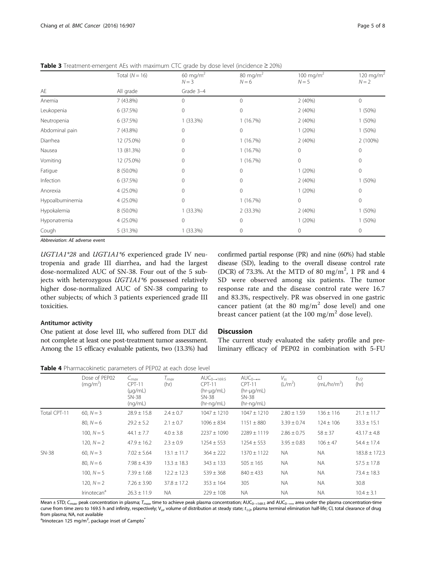|                    | Total $(N = 16)$ | 60 mg/m $^2$<br>$80 \text{ mg/m}^2$<br>$N = 3$<br>$N = 6$<br>Grade 3-4 |              | 100 mg/m <sup>2</sup><br>$N = 5$ | 120 mg/m $^2$<br>$N = 2$ |  |
|--------------------|------------------|------------------------------------------------------------------------|--------------|----------------------------------|--------------------------|--|
| AE                 | All grade        |                                                                        |              |                                  |                          |  |
| Anemia             | 7 (43.8%)        | 0                                                                      | $\Omega$     | 2(40%)                           | 0                        |  |
| Leukopenia         | 6 (37.5%)        | 0                                                                      | 0            | 2(40%)                           | 1(50%)                   |  |
| Neutropenia        | 6 (37.5%)        | $1(33.3\%)$                                                            | 1(16.7%)     | 2(40%)                           | 1(50%)                   |  |
| Abdominal pain     | 7 (43.8%)        | 0                                                                      | $\mathbf{0}$ | 1(20%)                           | 1(50%)                   |  |
| Diarrhea           | 12 (75.0%)       | $\Omega$                                                               | 1(16.7%)     | 2(40%)                           | 2 (100%)                 |  |
| Nausea             | 13 (81.3%)       | 0                                                                      | 1(16.7%)     | 0                                | 0                        |  |
| Vomiting           | 12 (75.0%)       | 0                                                                      | 1(16.7%)     | 0                                | 0                        |  |
| Fatigue            | 8 (50.0%)        | 0                                                                      | 0            | 1(20%)                           | 0                        |  |
| Infection          | 6 (37.5%)        | 0                                                                      | 0            | 2(40%)                           | 1(50%)                   |  |
| Anorexia           | 4 (25.0%)        | 0                                                                      | $\mathbf 0$  | 1(20%)                           | 0                        |  |
| Hypoalbuminemia    | 4 (25.0%)        | $\mathbf 0$                                                            | 1(16.7%)     | 0                                | 0                        |  |
| Hypokalemia        | 8 (50.0%)        | $1(33.3\%)$                                                            | 2 (33.3%)    | 2(40%)                           | 1(50%)                   |  |
| Hyponatremia       | 4 (25.0%)        | 0                                                                      | $\mathbf 0$  | 1(20%)                           | $1(50\%)$                |  |
| Cough<br>5 (31.3%) |                  | $1(33.3\%)$                                                            | 0            | 0                                | 0                        |  |

<span id="page-4-0"></span>Table 3 Treatment-emergent AEs with maximum CTC grade by dose level (incidence ≥ 20%)

Abbreviation: AE adverse event

UGT1A1\*28 and UGT1A1\*6 experienced grade IV neutropenia and grade III diarrhea, and had the largest dose-normalized AUC of SN-38. Four out of the 5 subjects with heterozygous UGT1A1\*6 possessed relatively higher dose-normalized AUC of SN-38 comparing to other subjects; of which 3 patients experienced grade III toxicities.

## Antitumor activity

One patient at dose level III, who suffered from DLT did not complete at least one post-treatment tumor assessment. Among the 15 efficacy evaluable patients, two (13.3%) had confirmed partial response (PR) and nine (60%) had stable disease (SD), leading to the overall disease control rate (DCR) of 73.3%. At the MTD of 80 mg/m<sup>2</sup>, 1 PR and 4 SD were observed among six patients. The tumor response rate and the disease control rate were 16.7 and 83.3%, respectively. PR was observed in one gastric cancer patient (at the 80 mg/ $m<sup>2</sup>$  dose level) and one breast cancer patient (at the 100 mg/m<sup>2</sup> dose level).

## **Discussion**

The current study evaluated the safety profile and preliminary efficacy of PEP02 in combination with 5-FU

Table 4 Pharmacokinetic parameters of PEP02 at each dose level

|              | Dose of PFP02<br>(mq/m <sup>2</sup> ) | $C_{max}$<br><b>CPT-11</b><br>$(\mu q/mL)$<br>SN-38<br>(nq/mL) | $T_{max}$<br>(hr) | $AUC_{0\rightarrow 169.5}$<br><b>CPT-11</b><br>$(hr-\mu q/mL)$<br><b>SN-38</b><br>(hr-ng/mL) | $AUC_{0\rightarrow\infty}$<br>$CPT-11$<br>$(hr-\mu q/mL)$<br>$SN-38$<br>$(hr-nq/mL)$ | $V_{ss}$<br>(L/m <sup>2</sup> ) | $\subset$<br>(mL/hr/m <sup>2</sup> ) | $t_{1/2}$<br>(hr) |
|--------------|---------------------------------------|----------------------------------------------------------------|-------------------|----------------------------------------------------------------------------------------------|--------------------------------------------------------------------------------------|---------------------------------|--------------------------------------|-------------------|
| Total CPT-11 | 60. $N = 3$                           | $28.9 \pm 15.8$                                                | $2.4 \pm 0.7$     | $1047 \pm 1210$                                                                              | $1047 \pm 1210$                                                                      | $2.80 \pm 1.59$                 | $136 \pm 116$                        | $21.1 \pm 11.7$   |
|              | $80, N = 6$                           | $29.2 \pm 5.2$                                                 | $2.1 \pm 0.7$     | $1096 \pm 834$                                                                               | $1151 \pm 880$                                                                       | $3.39 \pm 0.74$                 | $124 \pm 106$                        | $33.3 \pm 15.1$   |
|              | 100. $N = 5$                          | $44.1 \pm 7.7$                                                 | $4.0 \pm 3.8$     | $2237 \pm 1090$                                                                              | $2289 \pm 1119$                                                                      | $2.86 \pm 0.75$                 | $58 \pm 37$                          | $43.17 \pm 4.8$   |
|              | 120. $N = 2$                          | $47.9 \pm 16.2$                                                | $2.3 \pm 0.9$     | $1254 \pm 553$                                                                               | $1254 \pm 553$                                                                       | $3.95 \pm 0.83$                 | $106 \pm 47$                         | $54.4 \pm 17.4$   |
| <b>SN-38</b> | 60, $N = 3$                           | $7.02 \pm 5.64$                                                | $13.1 \pm 11.7$   | $364 \pm 222$                                                                                | $1370 \pm 1122$                                                                      | <b>NA</b>                       | <b>NA</b>                            | $183.8 \pm 172.3$ |
|              | $80. N = 6$                           | $7.98 \pm 4.39$                                                | $13.3 \pm 18.3$   | $343 \pm 133$                                                                                | $505 \pm 165$                                                                        | <b>NA</b>                       | <b>NA</b>                            | $57.5 \pm 17.8$   |
|              | 100. $N = 5$                          | $7.39 \pm 1.68$                                                | $12.2 \pm 12.3$   | $539 \pm 368$                                                                                | $840 \pm 433$                                                                        | <b>NA</b>                       | <b>NA</b>                            | $73.4 \pm 18.3$   |
|              | 120. $N = 2$                          | $7.26 \pm 3.90$                                                | $37.8 \pm 17.2$   | $353 \pm 164$                                                                                | 305                                                                                  | <b>NA</b>                       | <b>NA</b>                            | 30.8              |
|              | <b>Irinotecan<sup>a</sup></b>         | $26.3 \pm 11.9$                                                | <b>NA</b>         | $229 \pm 108$                                                                                | <b>NA</b>                                                                            | <b>NA</b>                       | <b>NA</b>                            | $10.4 \pm 3.1$    |

Mean ± STD; C<sub>max</sub>, peak concentration in plasma; T<sub>max</sub> time to achieve peak plasma concentration; AUC<sub>0→169.5</sub> and AUC<sub>0→∞</sub>, area under the plasma concentration-time curve from time zero to 169.5 h and infinity, respectively; V<sub>ss</sub> volume of distribution at steady state; t<sub>1/2</sub>, plasma terminal elimination half-life; Cl, total clearance of drug from plasma; NA, not available

<sup>a</sup>lrinotecan 125 mg/m<sup>2</sup>, package inset of Campto<sup>®</sup>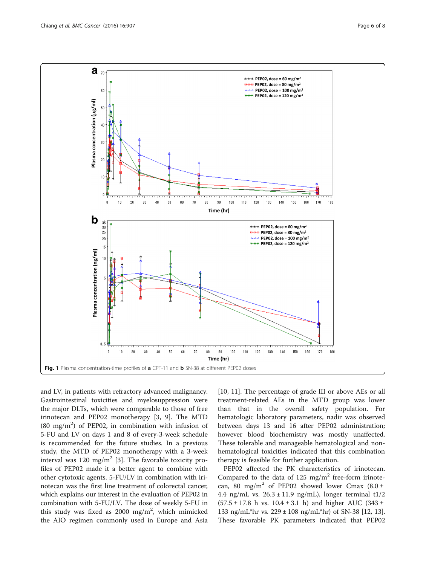<span id="page-5-0"></span>

and LV, in patients with refractory advanced malignancy. Gastrointestinal toxicities and myelosuppression were the major DLTs, which were comparable to those of free irinotecan and PEP02 monotherapy [\[3](#page-7-0), [9\]](#page-7-0). The MTD  $(80 \text{ mg/m}^2)$  of PEP02, in combination with infusion of 5-FU and LV on days 1 and 8 of every-3-week schedule is recommended for the future studies. In a previous study, the MTD of PEP02 monotherapy with a 3-week interval was 120 mg/m<sup>2</sup> [\[3](#page-7-0)]. The favorable toxicity profiles of PEP02 made it a better agent to combine with other cytotoxic agents. 5-FU/LV in combination with irinotecan was the first line treatment of colorectal cancer, which explains our interest in the evaluation of PEP02 in combination with 5-FU/LV. The dose of weekly 5-FU in this study was fixed as 2000  $\text{mg/m}^2$ , which mimicked the AIO regimen commonly used in Europe and Asia

[[10, 11\]](#page-7-0). The percentage of grade III or above AEs or all treatment-related AEs in the MTD group was lower than that in the overall safety population. For hematologic laboratory parameters, nadir was observed between days 13 and 16 after PEP02 administration; however blood biochemistry was mostly unaffected. These tolerable and manageable hematological and nonhematological toxicities indicated that this combination therapy is feasible for further application.

PEP02 affected the PK characteristics of irinotecan. Compared to the data of  $125 \text{ mg/m}^2$  free-form irinotecan, 80 mg/m<sup>2</sup> of PEP02 showed lower Cmax  $(8.0 \pm 1)$ 4.4 ng/mL vs.  $26.3 \pm 11.9$  ng/mL), longer terminal t1/2  $(57.5 \pm 17.8 \text{ h vs. } 10.4 \pm 3.1 \text{ h})$  and higher AUC  $(343 \pm 17.8 \text{ h vs. } 10.4 \pm 3.1 \text{ h})$ 133 ng/mL\*hr vs.  $229 \pm 108$  ng/mL\*hr) of SN-38 [[12](#page-7-0), [13](#page-7-0)]. These favorable PK parameters indicated that PEP02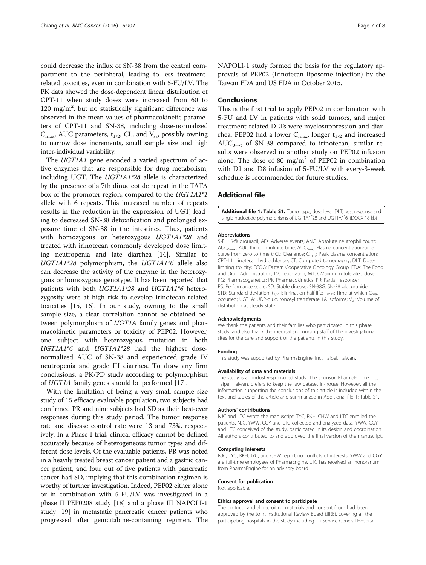could decrease the influx of SN-38 from the central compartment to the peripheral, leading to less treatmentrelated toxicities, even in combination with 5-FU/LV. The PK data showed the dose-dependent linear distribution of CPT-11 when study doses were increased from 60 to 120 mg/m<sup>2</sup>, but no statistically significant difference was observed in the mean values of pharmacokinetic parameters of CPT-11 and SN-38, including dose-normalized  $C_{\text{max}}$ , AUC parameters,  $t_{1/2}$ , CL, and  $V_{ss}$ , possibly owning to narrow dose increments, small sample size and high inter-individual variability.

The *UGT1A1* gene encoded a varied spectrum of active enzymes that are responsible for drug metabolism, including UGT. The UGT1A1\*28 allele is characterized by the presence of a 7th dinucleotide repeat in the TATA box of the promoter region, compared to the UGT1A1\*1 allele with 6 repeats. This increased number of repeats results in the reduction in the expression of UGT, leading to decreased SN-38 detoxification and prolonged exposure time of SN-38 in the intestines. Thus, patients with homozygous or heterozygous UGT1A1\*28 and treated with irinotecan commonly developed dose limiting neutropenia and late diarrhea [[14\]](#page-7-0). Similar to  $UGT1A1*28$  polymorphism, the  $UGT1A1*6$  allele also can decrease the activity of the enzyme in the heterozygous or homozygous genotype. It has been reported that patients with both UGT1A1\*28 and UGT1A1\*6 heterozygosity were at high risk to develop irinotecan-related toxicities [[15](#page-7-0), [16\]](#page-7-0). In our study, owning to the small sample size, a clear correlation cannot be obtained between polymorphism of UGT1A family genes and pharmacokinetic parameters or toxicity of PEP02. However, one subject with heterozygous mutation in both UGT1A1\*6 and UGT1A1\*28 had the highest dosenormalized AUC of SN-38 and experienced grade IV neutropenia and grade III diarrhea. To draw any firm conclusions, a PK/PD study according to polymorphism of UGT1A family genes should be performed [\[17](#page-7-0)].

With the limitation of being a very small sample size study of 15 efficacy evaluable population, two subjects had confirmed PR and nine subjects had SD as their best-ever responses during this study period. The tumor response rate and disease control rate were 13 and 73%, respectively. In a Phase I trial, clinical efficacy cannot be defined accurately because of heterogeneous tumor types and different dose levels. Of the evaluable patients, PR was noted in a heavily treated breast cancer patient and a gastric cancer patient, and four out of five patients with pancreatic cancer had SD, implying that this combination regimen is worthy of further investigation. Indeed, PEP02 either alone or in combination with 5-FU/LV was investigated in a phase II PEP0208 study [\[18\]](#page-7-0) and a phase III NAPOLI-1 study [[19](#page-7-0)] in metastatic pancreatic cancer patients who progressed after gemcitabine-containing regimen. The NAPOLI-1 study formed the basis for the regulatory approvals of PEP02 (Irinotecan liposome injection) by the Taiwan FDA and US FDA in October 2015.

## Conclusions

This is the first trial to apply PEP02 in combination with 5-FU and LV in patients with solid tumors, and major treatment-related DLTs were myelosuppression and diarrhea. PEP02 had a lower  $C_{\text{max}}$ , longer  $t_{1/2}$  and increased  $AUC_{0\rightarrow t}$  of SN-38 compared to irinotecan; similar results were observed in another study on PEP02 infusion alone. The dose of 80 mg/m<sup>2</sup> of PEP02 in combination with D1 and D8 infusion of 5-FU/LV with every-3-week schedule is recommended for future studies.

### Additional file

[Additional file 1: Table S1.](dx.doi.org/10.1186/s12885-016-2933-6) Tumor type, dose level, DLT, best response and single nucleotide polymorphisms of UGT1A1\* 28 and UGT1A1\* 6. (DOCX 18 kb)

#### Abbreviations

5-FU: 5-fluorouracil; AEs: Adverse events; ANC: Absolute neutrophil count; AUC<sub>0→∞</sub>: AUC through infinite time; AUC<sub>0→t</sub>: Plasma concentration-time curve from zero to time t; CL: Clearance; C<sub>max</sub>: Peak plasma concentration; CPT-11: Irinotecan hydrochloride; CT: Computed tomography; DLT: Doselimiting toxicity; ECOG: Eastern Cooperative Oncology Group; FDA: The Food and Drug Administration; LV: Leucovorin; MTD: Maximum tolerated dose; PG: Pharmacogenetics; PK: Pharmacokinetics; PR: Partial response; PS: Performance score; SD: Stable disease; SN-38G: SN-38 glucuronide; STD: Standard deviation;  $t_{1/2}$ : Elimination half-life; T<sub>max</sub>: Time at which C<sub>ma</sub> occurred; UGT1A: UDP-glucuronosyl transferase 1A isoforms; V<sub>ss</sub>: Volume of distribution at steady state

#### Acknowledgments

We thank the patients and their families who participated in this phase I study, and also thank the medical and nursing staff of the investigational sites for the care and support of the patients in this study.

#### Funding

This study was supported by PharmaEngine, Inc., Taipei, Taiwan.

#### Availability of data and materials

The study is an industry-sponsored study. The sponsor, PharmaEngine Inc, Taipei, Taiwan, prefers to keep the raw dataset in-house. However, all the information supporting the conclusions of this article is included within the text and tables of the article and summarized in Additional file 1: Table S1.

#### Authors' contributions

NJC and LTC wrote the manuscript. TYC, RKH, CHW and LTC enrolled the patients. NJC, YWW, CGY and LTC collected and analyzed data. YWW, CGY and LTC conceived of the study, participated in its design and coordination. All authors contributed to and approved the final version of the manuscript.

#### Competing interests

NJC, TYC, RKH, JYC, and CHW report no conflicts of interests. YWW and CGY are full-time employees of PharmaEngine. LTC has received an honorarium from PharmaEngine for an advisory board.

#### Consent for publication

Not applicable.

#### Ethics approval and consent to participate

The protocol and all recruiting materials and consent foam had been approved by the Joint Institutional Review Board (JIRB), covering all the participating hospitals in the study including Tri-Service General Hospital,